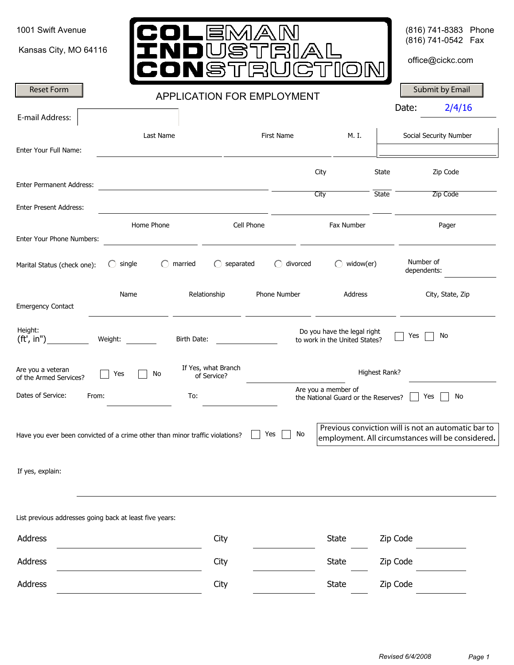| 1001 Swift Avenue<br>Kansas City, MO 64116                                   |                                                                                                          | LEMA<br><b>JSST</b>                | TË         |              | CTIO                                                         |                       | (816) 741-8383 Phone<br>(816) 741-0542 Fax<br>office@cickc.com                                           |
|------------------------------------------------------------------------------|----------------------------------------------------------------------------------------------------------|------------------------------------|------------|--------------|--------------------------------------------------------------|-----------------------|----------------------------------------------------------------------------------------------------------|
| <b>Reset Form</b>                                                            |                                                                                                          | <b>APPLICATION FOR EMPLOYMENT</b>  |            |              |                                                              |                       | Submit by Email                                                                                          |
| E-mail Address:                                                              |                                                                                                          |                                    |            |              |                                                              |                       | Date:<br>2/4/16                                                                                          |
| Enter Your Full Name:                                                        | Last Name                                                                                                |                                    |            | First Name   | M. I.                                                        |                       | Social Security Number                                                                                   |
| <b>Enter Permanent Address:</b>                                              |                                                                                                          |                                    |            |              | City<br>City                                                 | State<br><b>State</b> | Zip Code<br>Zip Code                                                                                     |
| <b>Enter Present Address:</b>                                                |                                                                                                          |                                    |            |              |                                                              |                       |                                                                                                          |
| Enter Your Phone Numbers:                                                    | Home Phone                                                                                               |                                    | Cell Phone |              | Fax Number                                                   |                       | Pager                                                                                                    |
| Marital Status (check one):                                                  | single                                                                                                   | separated<br>married               |            | divorced     | widow(er)                                                    |                       | Number of<br>dependents:                                                                                 |
| <b>Emergency Contact</b>                                                     | Name                                                                                                     | Relationship                       |            | Phone Number | Address                                                      |                       | City, State, Zip                                                                                         |
| Height:<br>$({\sf ft}', {\sf in}'')$                                         | Weight: $\frac{1}{\sqrt{1-\frac{1}{2}}\sqrt{1-\frac{1}{2}}\left( \frac{1}{\sqrt{1-\frac{1}{2}}}\right)}$ | Birth Date:                        |            |              | Do you have the legal right<br>to work in the United States? |                       | No<br>Yes                                                                                                |
| Are you a veteran<br>of the Armed Services?                                  | Yes<br>No                                                                                                | If Yes, what Branch<br>of Service? |            |              |                                                              | Highest Rank?         |                                                                                                          |
| Dates of Service:<br>From:                                                   |                                                                                                          | To:                                |            |              | Are you a member of<br>the National Guard or the Reserves?   |                       | No<br>Yes                                                                                                |
| Have you ever been convicted of a crime other than minor traffic violations? |                                                                                                          |                                    | Yes        | No           |                                                              |                       | Previous conviction will is not an automatic bar to<br>employment. All circumstances will be considered. |
| If yes, explain:                                                             |                                                                                                          |                                    |            |              |                                                              |                       |                                                                                                          |
| List previous addresses going back at least five years:                      |                                                                                                          |                                    |            |              |                                                              |                       |                                                                                                          |
| Address                                                                      |                                                                                                          | City                               |            |              | <b>State</b>                                                 | Zip Code              |                                                                                                          |
| Address                                                                      |                                                                                                          | City                               |            |              | <b>State</b>                                                 | Zip Code              |                                                                                                          |
| Address                                                                      |                                                                                                          | City                               |            |              | <b>State</b>                                                 | Zip Code              |                                                                                                          |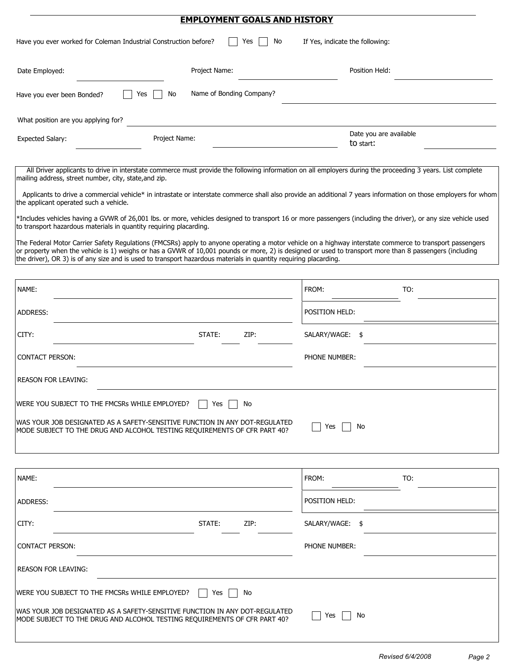|                                                                                                                                                                                                                                                                                                                                                                                                                                            | <b>EMPLOYMENT GOALS AND HISTORY</b> |                                                                                                                                                                                                                                                                                                                               |  |
|--------------------------------------------------------------------------------------------------------------------------------------------------------------------------------------------------------------------------------------------------------------------------------------------------------------------------------------------------------------------------------------------------------------------------------------------|-------------------------------------|-------------------------------------------------------------------------------------------------------------------------------------------------------------------------------------------------------------------------------------------------------------------------------------------------------------------------------|--|
| Have you ever worked for Coleman Industrial Construction before?                                                                                                                                                                                                                                                                                                                                                                           | Yes<br>No                           | If Yes, indicate the following:                                                                                                                                                                                                                                                                                               |  |
| Date Employed:                                                                                                                                                                                                                                                                                                                                                                                                                             | Project Name:                       | Position Held:                                                                                                                                                                                                                                                                                                                |  |
| No<br>Yes<br>Have you ever been Bonded?                                                                                                                                                                                                                                                                                                                                                                                                    | Name of Bonding Company?            |                                                                                                                                                                                                                                                                                                                               |  |
| What position are you applying for?                                                                                                                                                                                                                                                                                                                                                                                                        |                                     |                                                                                                                                                                                                                                                                                                                               |  |
| Project Name:<br><b>Expected Salary:</b>                                                                                                                                                                                                                                                                                                                                                                                                   |                                     | Date you are available<br>to start:                                                                                                                                                                                                                                                                                           |  |
| mailing address, street number, city, state, and zip.                                                                                                                                                                                                                                                                                                                                                                                      |                                     | All Driver applicants to drive in interstate commerce must provide the following information on all employers during the proceeding 3 years. List complete<br>Applicants to drive a commercial vehicle* in intrastate or interstate commerce shall also provide an additional 7 years information on those employers for whom |  |
| the applicant operated such a vehicle.<br>*Includes vehicles having a GVWR of 26,001 lbs. or more, vehicles designed to transport 16 or more passengers (including the driver), or any size vehicle used<br>to transport hazardous materials in quantity requiring placarding.<br>The Federal Motor Carrier Safety Regulations (FMCSRs) apply to anyone operating a motor vehicle on a highway interstate commerce to transport passengers |                                     |                                                                                                                                                                                                                                                                                                                               |  |
| or property when the vehicle is 1) weighs or has a GVWR of 10,001 pounds or more, 2) is designed or used to transport more than 8 passengers (including<br>the driver), OR 3) is of any size and is used to transport hazardous materials in quantity requiring placarding.                                                                                                                                                                |                                     |                                                                                                                                                                                                                                                                                                                               |  |
| NAME:                                                                                                                                                                                                                                                                                                                                                                                                                                      |                                     | TO:<br>FROM:                                                                                                                                                                                                                                                                                                                  |  |
| ADDRESS:                                                                                                                                                                                                                                                                                                                                                                                                                                   |                                     | POSITION HELD:                                                                                                                                                                                                                                                                                                                |  |
| CITY:                                                                                                                                                                                                                                                                                                                                                                                                                                      | STATE:<br>ZIP:                      | SALARY/WAGE: \$                                                                                                                                                                                                                                                                                                               |  |
| <b>CONTACT PERSON:</b>                                                                                                                                                                                                                                                                                                                                                                                                                     |                                     | PHONE NUMBER:                                                                                                                                                                                                                                                                                                                 |  |
| <b>REASON FOR LEAVING:</b>                                                                                                                                                                                                                                                                                                                                                                                                                 |                                     |                                                                                                                                                                                                                                                                                                                               |  |
| WERE YOU SUBJECT TO THE FMCSRs WHILE EMPLOYED?                                                                                                                                                                                                                                                                                                                                                                                             | No<br>Yes                           |                                                                                                                                                                                                                                                                                                                               |  |
| lwas your job designated as a safety-sensitive function in any dot-regulated<br>MODE SUBJECT TO THE DRUG AND ALCOHOL TESTING REQUIREMENTS OF CFR PART 40?                                                                                                                                                                                                                                                                                  |                                     | No<br>Yes                                                                                                                                                                                                                                                                                                                     |  |
| NAME:                                                                                                                                                                                                                                                                                                                                                                                                                                      |                                     | FROM:<br>TO:                                                                                                                                                                                                                                                                                                                  |  |
| ADDRESS:                                                                                                                                                                                                                                                                                                                                                                                                                                   |                                     | POSITION HELD:                                                                                                                                                                                                                                                                                                                |  |
| CITY:                                                                                                                                                                                                                                                                                                                                                                                                                                      | ZIP:<br>STATE:                      | SALARY/WAGE:<br>\$                                                                                                                                                                                                                                                                                                            |  |
| <b>CONTACT PERSON:</b>                                                                                                                                                                                                                                                                                                                                                                                                                     |                                     | PHONE NUMBER:                                                                                                                                                                                                                                                                                                                 |  |
| <b>REASON FOR LEAVING:</b>                                                                                                                                                                                                                                                                                                                                                                                                                 |                                     |                                                                                                                                                                                                                                                                                                                               |  |
| WERE YOU SUBJECT TO THE FMCSRs WHILE EMPLOYED?                                                                                                                                                                                                                                                                                                                                                                                             | No<br>Yes                           |                                                                                                                                                                                                                                                                                                                               |  |

| WAS YOUR JOB DESIGNATED AS A SAFETY-SENSITIVE FUNCTION IN ANY DOT-REGULATED. |  |
|------------------------------------------------------------------------------|--|
| MODE SUBJECT TO THE DRUG AND ALCOHOL TESTING REOUIREMENTS OF CFR PART 40?    |  |

 $\Box$  Yes  $\Box$  No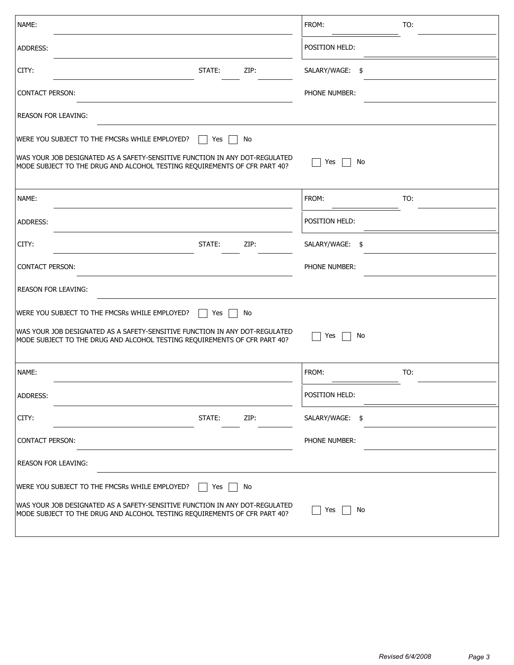| NAME:                                                                                                                                                    |        |      | FROM:              | TO: |
|----------------------------------------------------------------------------------------------------------------------------------------------------------|--------|------|--------------------|-----|
| ADDRESS:                                                                                                                                                 |        |      | POSITION HELD:     |     |
| CITY:                                                                                                                                                    | STATE: | ZIP: | SALARY/WAGE:<br>\$ |     |
| <b>CONTACT PERSON:</b>                                                                                                                                   |        |      | PHONE NUMBER:      |     |
| <b>REASON FOR LEAVING:</b>                                                                                                                               |        |      |                    |     |
| WERE YOU SUBJECT TO THE FMCSRs WHILE EMPLOYED?                                                                                                           | Yes    | No   |                    |     |
| WAS YOUR JOB DESIGNATED AS A SAFETY-SENSITIVE FUNCTION IN ANY DOT-REGULATED<br>MODE SUBJECT TO THE DRUG AND ALCOHOL TESTING REQUIREMENTS OF CFR PART 40? |        |      | Yes<br>No          |     |
| NAME:                                                                                                                                                    |        |      | FROM:              | TO: |
| ADDRESS:                                                                                                                                                 |        |      | POSITION HELD:     |     |
| CITY:                                                                                                                                                    | STATE: | ZIP: | SALARY/WAGE: \$    |     |
| <b>CONTACT PERSON:</b>                                                                                                                                   |        |      | PHONE NUMBER:      |     |
| <b>REASON FOR LEAVING:</b>                                                                                                                               |        |      |                    |     |
| WERE YOU SUBJECT TO THE FMCSRs WHILE EMPLOYED?                                                                                                           | Yes    | No   |                    |     |
| WAS YOUR JOB DESIGNATED AS A SAFETY-SENSITIVE FUNCTION IN ANY DOT-REGULATED<br>MODE SUBJECT TO THE DRUG AND ALCOHOL TESTING REQUIREMENTS OF CFR PART 40? |        |      | Yes<br>No          |     |
| NAME:                                                                                                                                                    |        |      | FROM:              | TO: |
| ADDRESS:                                                                                                                                                 |        |      | POSITION HELD:     |     |
| CITY:                                                                                                                                                    | STATE: | ZIP: | SALARY/WAGE:<br>\$ |     |
| <b>CONTACT PERSON:</b>                                                                                                                                   |        |      | PHONE NUMBER:      |     |
| <b>REASON FOR LEAVING:</b>                                                                                                                               |        |      |                    |     |
| WERE YOU SUBJECT TO THE FMCSRs WHILE EMPLOYED?                                                                                                           | Yes    | No   |                    |     |
| WAS YOUR JOB DESIGNATED AS A SAFETY-SENSITIVE FUNCTION IN ANY DOT-REGULATED<br>MODE SUBJECT TO THE DRUG AND ALCOHOL TESTING REQUIREMENTS OF CFR PART 40? |        |      | Yes<br>No          |     |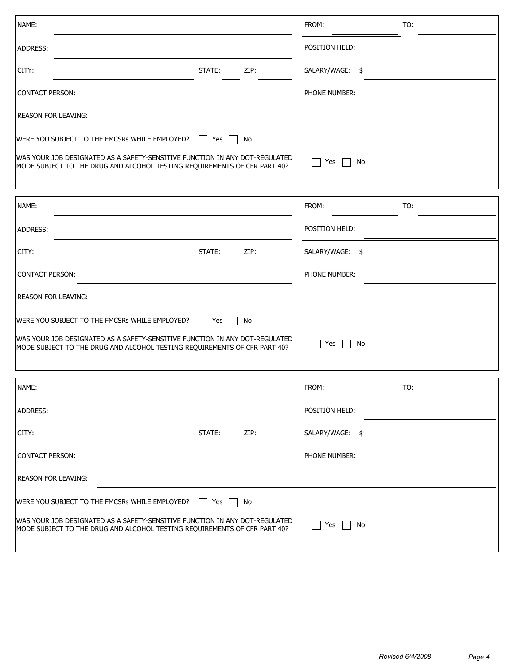| NAME:                                                                                                                                                    |        |      | FROM:           | TO:  |  |
|----------------------------------------------------------------------------------------------------------------------------------------------------------|--------|------|-----------------|------|--|
| ADDRESS:                                                                                                                                                 |        |      | POSITION HELD:  |      |  |
| CITY:                                                                                                                                                    | STATE: | ZIP: | SALARY/WAGE:    | - \$ |  |
| <b>CONTACT PERSON:</b>                                                                                                                                   |        |      | PHONE NUMBER:   |      |  |
| <b>REASON FOR LEAVING:</b>                                                                                                                               |        |      |                 |      |  |
| WERE YOU SUBJECT TO THE FMCSRs WHILE EMPLOYED?                                                                                                           | Yes    | No   |                 |      |  |
| WAS YOUR JOB DESIGNATED AS A SAFETY-SENSITIVE FUNCTION IN ANY DOT-REGULATED<br>MODE SUBJECT TO THE DRUG AND ALCOHOL TESTING REQUIREMENTS OF CFR PART 40? |        |      | Yes             | No   |  |
| NAME:                                                                                                                                                    |        |      | FROM:           | TO:  |  |
| ADDRESS:                                                                                                                                                 |        |      | POSITION HELD:  |      |  |
| CITY:                                                                                                                                                    | STATE: | ZIP: | SALARY/WAGE:    | - \$ |  |
| <b>CONTACT PERSON:</b>                                                                                                                                   |        |      | PHONE NUMBER:   |      |  |
| <b>REASON FOR LEAVING:</b>                                                                                                                               |        |      |                 |      |  |
| WERE YOU SUBJECT TO THE FMCSRs WHILE EMPLOYED?                                                                                                           | Yes    | No   |                 |      |  |
| WAS YOUR JOB DESIGNATED AS A SAFETY-SENSITIVE FUNCTION IN ANY DOT-REGULATED<br>MODE SUBJECT TO THE DRUG AND ALCOHOL TESTING REQUIREMENTS OF CFR PART 40? |        |      | Yes             | No   |  |
| NAME:                                                                                                                                                    |        |      | FROM:           | TO:  |  |
| ADDRESS:                                                                                                                                                 |        |      | POSITION HELD:  |      |  |
| CITY:                                                                                                                                                    | STATE: | ZIP: | SALARY/WAGE: \$ |      |  |
| <b>CONTACT PERSON:</b>                                                                                                                                   |        |      | PHONE NUMBER:   |      |  |
| <b>REASON FOR LEAVING:</b>                                                                                                                               |        |      |                 |      |  |
| WERE YOU SUBJECT TO THE FMCSRs WHILE EMPLOYED?                                                                                                           | Yes    | No   |                 |      |  |
| WAS YOUR JOB DESIGNATED AS A SAFETY-SENSITIVE FUNCTION IN ANY DOT-REGULATED<br>MODE SUBJECT TO THE DRUG AND ALCOHOL TESTING REQUIREMENTS OF CFR PART 40? |        |      | Yes             | No   |  |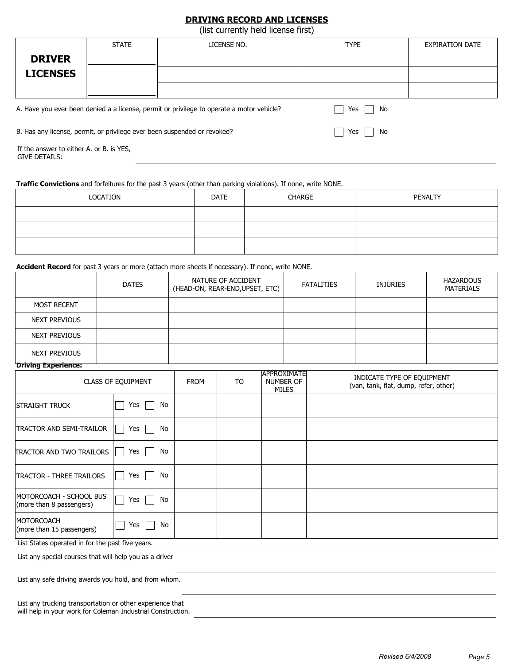# **DRIVING RECORD AND LICENSES**

(list currently held license first)

|                                                                                                                                                                                     | <b>STATE</b>             | LICENSE NO. | <b>TYPE</b> | <b>EXPIRATION DATE</b> |  |  |  |  |  |
|-------------------------------------------------------------------------------------------------------------------------------------------------------------------------------------|--------------------------|-------------|-------------|------------------------|--|--|--|--|--|
| <b>DRIVER</b>                                                                                                                                                                       |                          |             |             |                        |  |  |  |  |  |
| <b>LICENSES</b>                                                                                                                                                                     | $\overline{\phantom{0}}$ |             |             |                        |  |  |  |  |  |
|                                                                                                                                                                                     | $\overline{\phantom{0}}$ |             |             |                        |  |  |  |  |  |
| A. Have you ever been denied a a license, permit or privilege to operate a motor vehicle?<br>Yes<br>B. Has any license, permit, or privilege ever been suspended or revoked?<br>Yes |                          | No          |             |                        |  |  |  |  |  |
| No                                                                                                                                                                                  |                          |             |             |                        |  |  |  |  |  |

If the answer to either A. or B. is YES, GIVE DETAILS:

### **Traffic Convictions** and forfeitures for the past 3 years (other than parking violations). If none, write NONE.

| LOCATION | DATE | CHARGE | PENALTY |
|----------|------|--------|---------|
|          |      |        |         |
|          |      |        |         |
|          |      |        |         |

#### **Accident Record** for past 3 years or more (attach more sheets if necessary). If none, write NONE.

|                       | <b>DATES</b> | NATURE OF ACCIDENT<br>(HEAD-ON, REAR-END, UPSET, ETC) | <b>FATALITIES</b> | <b>INJURIES</b> | <b>HAZARDOUS</b><br><b>MATERIALS</b> |
|-----------------------|--------------|-------------------------------------------------------|-------------------|-----------------|--------------------------------------|
| <b>MOST RECENT</b>    |              |                                                       |                   |                 |                                      |
| NEXT PREVIOUS         |              |                                                       |                   |                 |                                      |
| NEXT PREVIOUS         |              |                                                       |                   |                 |                                      |
| NEXT PREVIOUS         |              |                                                       |                   |                 |                                      |
| "Driving Experience:" |              |                                                       |                   |                 |                                      |

|                                                     | <b>CLASS OF EQUIPMENT</b> | <b>FROM</b> | T <sub>O</sub> | <b>APPROXIMATE</b><br><b>NUMBER OF</b><br><b>MILES</b> | INDICATE TYPE OF EQUIPMENT<br>(van, tank, flat, dump, refer, other) |
|-----------------------------------------------------|---------------------------|-------------|----------------|--------------------------------------------------------|---------------------------------------------------------------------|
| STRAIGHT TRUCK                                      | Yes<br>No                 |             |                |                                                        |                                                                     |
| <b>TRACTOR AND SEMI-TRAILOR</b>                     | Yes<br>No                 |             |                |                                                        |                                                                     |
| <b>TRACTOR AND TWO TRAILORS</b>                     | Yes<br>No                 |             |                |                                                        |                                                                     |
| <b>TRACTOR - THREE TRAILORS</b>                     | Yes<br>No                 |             |                |                                                        |                                                                     |
| MOTORCOACH - SCHOOL BUS<br>(more than 8 passengers) | Yes<br>No                 |             |                |                                                        |                                                                     |
| <b>MOTORCOACH</b><br>(more than 15 passengers)      | No<br>Yes                 |             |                |                                                        |                                                                     |
|                                                     |                           |             |                |                                                        |                                                                     |

List States operated in for the past five years.

List any special courses that will help you as a driver

List any safe driving awards you hold, and from whom.

|  | List any trucking transportation or other experience that   |  |  |  |
|--|-------------------------------------------------------------|--|--|--|
|  | will help in your work for Coleman Industrial Construction. |  |  |  |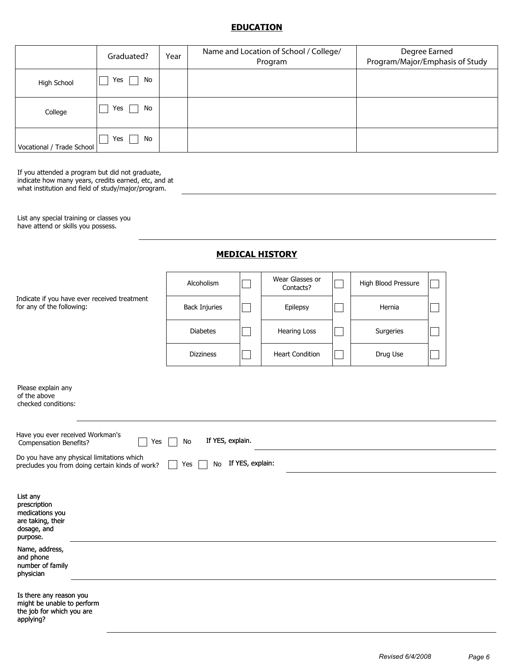## **EDUCATION**

|                           | Graduated? | Year | Name and Location of School / College/<br>Program | Degree Earned<br>Program/Major/Emphasis of Study |
|---------------------------|------------|------|---------------------------------------------------|--------------------------------------------------|
| High School               | No<br>Yes  |      |                                                   |                                                  |
| College                   | No<br>Yes  |      |                                                   |                                                  |
| Vocational / Trade School | No<br>Yes  |      |                                                   |                                                  |

If you attended a program but did not graduate, indicate how many years, credits earned, etc, and at what institution and field of study/major/program.

List any special training or classes you have attend or skills you possess.

## **MEDICAL HISTORY**

|                                                                                                 | Alcoholism             |                  | Wear Glasses or<br>Contacts? | High Blood Pressure |  |
|-------------------------------------------------------------------------------------------------|------------------------|------------------|------------------------------|---------------------|--|
| Indicate if you have ever received treatment<br>for any of the following:                       | <b>Back Injuries</b>   |                  | Epilepsy                     | Hernia              |  |
|                                                                                                 | <b>Diabetes</b>        |                  | Hearing Loss                 | Surgeries           |  |
|                                                                                                 | <b>Dizziness</b>       |                  | <b>Heart Condition</b>       | Drug Use            |  |
| Please explain any<br>of the above<br>checked conditions:                                       |                        |                  |                              |                     |  |
| Have you ever received Workman's<br>Yes<br><b>Compensation Benefits?</b>                        | If YES, explain.<br>No |                  |                              |                     |  |
| Do you have any physical limitations which<br>precludes you from doing certain kinds of work?   | No<br>Yes              | If YES, explain: |                              |                     |  |
| List any<br>prescription<br>medications you<br>are taking, their<br>dosage, and<br>purpose.     |                        |                  |                              |                     |  |
| Name, address,<br>and phone<br>number of family<br>physician                                    |                        |                  |                              |                     |  |
| Is there any reason you<br>might be unable to perform<br>the job for which you are<br>applying? |                        |                  |                              |                     |  |